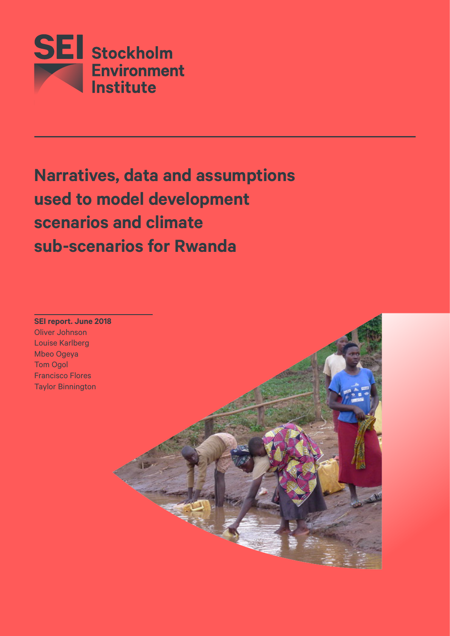

# **Narratives, data and assumptions used to model development scenarios and climate sub-scenarios for Rwanda**



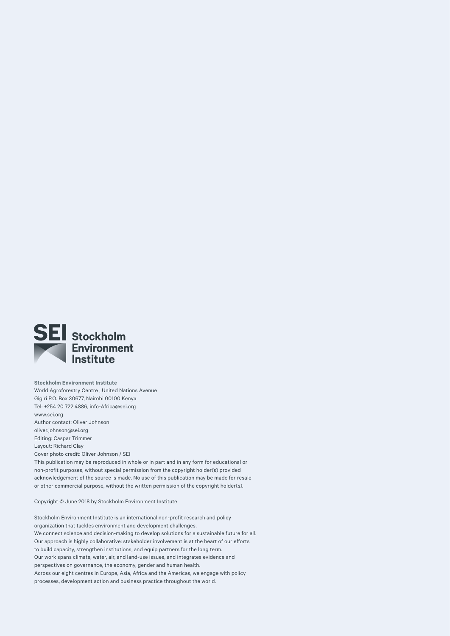

**Stockholm Environment Institute**  World Agroforestry Centre , United Nations Avenue Gigiri P.O. Box 30677, Nairobi 00100 Kenya Tel: +254 20 722 4886, [info-Africa@sei.org](mailto:info-Africa@sei.org) [www.sei.org](http://www.sei.org) Author contact: Oliver Johnson [oliver.johnson@sei.org](mailto:oliver.johnson@sei.org) Editing: Caspar Trimmer Layout: Richard Clay Cover photo credit: Oliver Johnson / SEI This publication may be reproduced in whole or in part and in any form for educational or non-profit purposes, without special permission from the copyright holder(s) provided acknowledgement of the source is made. No use of this publication may be made for resale or other commercial purpose, without the written permission of the copyright holder(s).

Copyright © June 2018 by Stockholm Environment Institute

Stockholm Environment Institute is an international non-profit research and policy organization that tackles environment and development challenges. We connect science and decision-making to develop solutions for a sustainable future for all. Our approach is highly collaborative: stakeholder involvement is at the heart of our efforts to build capacity, strengthen institutions, and equip partners for the long term. Our work spans climate, water, air, and land-use issues, and integrates evidence and perspectives on governance, the economy, gender and human health. Across our eight centres in Europe, Asia, Africa and the Americas, we engage with policy processes, development action and business practice throughout the world.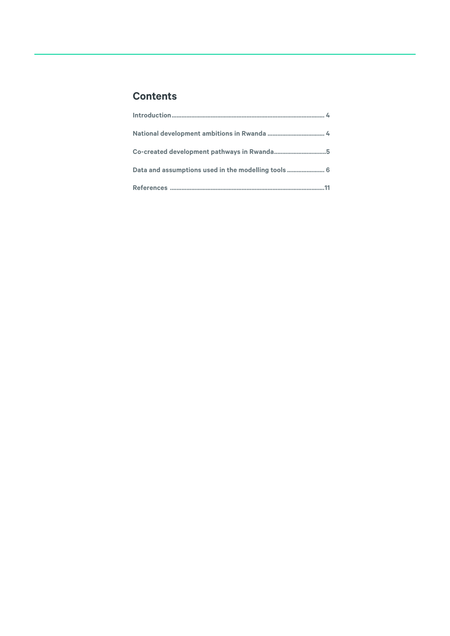# **Contents**

| Co-created development pathways in Rwanda5          |  |
|-----------------------------------------------------|--|
| Data and assumptions used in the modelling tools  6 |  |
|                                                     |  |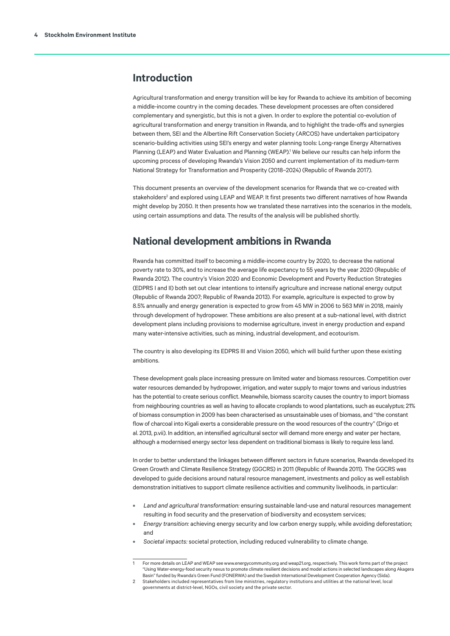# <span id="page-3-0"></span>**Introduction**

Agricultural transformation and energy transition will be key for Rwanda to achieve its ambition of becoming a middle-income country in the coming decades. These development processes are often considered complementary and synergistic, but this is not a given. In order to explore the potential co-evolution of agricultural transformation and energy transition in Rwanda, and to highlight the trade-offs and synergies between them, SEI and the Albertine Rift Conservation Society (ARCOS) have undertaken participatory scenario-building activities using SEI's energy and water planning tools: Long-range Energy Alternatives Planning (LEAP) and Water Evaluation and Planning (WEAP).<sup>1</sup> We believe our results can help inform the upcoming process of developing Rwanda's Vision 2050 and current implementation of its medium-term National Strategy for Transformation and Prosperity (2018–2024) (Republic of Rwanda 2017).

This document presents an overview of the development scenarios for Rwanda that we co-created with stakeholders<sup>2</sup> and explored using LEAP and WEAP. It first presents two different narratives of how Rwanda might develop by 2050. It then presents how we translated these narratives into the scenarios in the models, using certain assumptions and data. The results of the analysis will be published shortly.

# **National development ambitions in Rwanda**

Rwanda has committed itself to becoming a middle-income country by 2020, to decrease the national poverty rate to 30%, and to increase the average life expectancy to 55 years by the year 2020 (Republic of Rwanda 2012). The country's Vision 2020 and Economic Development and Poverty Reduction Strategies (EDPRS I and II) both set out clear intentions to intensify agriculture and increase national energy output (Republic of Rwanda 2007; Republic of Rwanda 2013). For example, agriculture is expected to grow by 8.5% annually and energy generation is expected to grow from 45 MW in 2006 to 563 MW in 2018, mainly through development of hydropower. These ambitions are also present at a sub-national level, with district development plans including provisions to modernise agriculture, invest in energy production and expand many water-intensive activities, such as mining, industrial development, and ecotourism.

The country is also developing its EDPRS III and Vision 2050, which will build further upon these existing ambitions.

These development goals place increasing pressure on limited water and biomass resources. Competition over water resources demanded by hydropower, irrigation, and water supply to major towns and various industries has the potential to create serious conflict. Meanwhile, biomass scarcity causes the country to import biomass from neighbouring countries as well as having to allocate croplands to wood plantations, such as eucalyptus; 21% of biomass consumption in 2009 has been characterised as unsustainable uses of biomass, and "the constant flow of charcoal into Kigali exerts a considerable pressure on the wood resources of the country" (Drigo et al. 2013, p.vii). In addition, an intensified agricultural sector will demand more energy and water per hectare, although a modernised energy sector less dependent on traditional biomass is likely to require less land.

In order to better understand the linkages between different sectors in future scenarios, Rwanda developed its Green Growth and Climate Resilience Strategy (GGCRS) in 2011 (Republic of Rwanda 2011). The GGCRS was developed to guide decisions around natural resource management, investments and policy as well establish demonstration initiatives to support climate resilience activities and community livelihoods, in particular:

- **•** *Land and agricultural transformation:* ensuring sustainable land-use and natural resources management resulting in food security and the preservation of biodiversity and ecosystem services;
- **•** *Energy transition:* achieving energy security and low carbon energy supply, while avoiding deforestation; and
- **•** *Societal impacts:* societal protection, including reduced vulnerability to climate change.

<sup>1</sup> For more details on LEAP and WEAP see [www.energycommunity.org](http://www.energycommunity.org) and [weap21.org](http://weap21.org), respectively. This work forms part of the project "Using Water-energy-food security nexus to promote climate resilient decisions and model actions in selected landscapes along Akagera Basin" funded by Rwanda's Green Fund (FONERWA) and the Swedish International Development Cooperation Agency (Sida).

<sup>2</sup> Stakeholders included representatives from line ministries, regulatory institutions and utilities at the national level, local governments at district-level, NGOs, civil society and the private sector.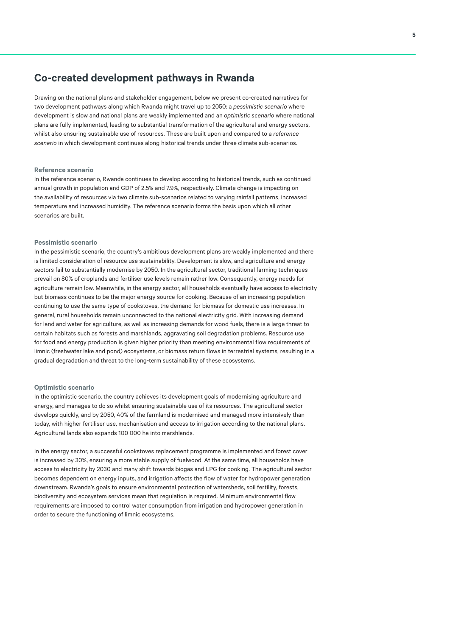# <span id="page-4-0"></span>**Co-created development pathways in Rwanda**

Drawing on the national plans and stakeholder engagement, below we present co-created narratives for two development pathways along which Rwanda might travel up to 2050: a *pessimistic scenario* where development is slow and national plans are weakly implemented and an *optimistic scenario* where national plans are fully implemented, leading to substantial transformation of the agricultural and energy sectors, whilst also ensuring sustainable use of resources. These are built upon and compared to a *reference scenario* in which development continues along historical trends under three climate sub-scenarios.

### **Reference scenario**

In the reference scenario, Rwanda continues to develop according to historical trends, such as continued annual growth in population and GDP of 2.5% and 7.9%, respectively. Climate change is impacting on the availability of resources via two climate sub-scenarios related to varying rainfall patterns, increased temperature and increased humidity. The reference scenario forms the basis upon which all other scenarios are built.

#### **Pessimistic scenario**

In the pessimistic scenario, the country's ambitious development plans are weakly implemented and there is limited consideration of resource use sustainability. Development is slow, and agriculture and energy sectors fail to substantially modernise by 2050. In the agricultural sector, traditional farming techniques prevail on 80% of croplands and fertiliser use levels remain rather low. Consequently, energy needs for agriculture remain low. Meanwhile, in the energy sector, all households eventually have access to electricity but biomass continues to be the major energy source for cooking. Because of an increasing population continuing to use the same type of cookstoves, the demand for biomass for domestic use increases. In general, rural households remain unconnected to the national electricity grid. With increasing demand for land and water for agriculture, as well as increasing demands for wood fuels, there is a large threat to certain habitats such as forests and marshlands, aggravating soil degradation problems. Resource use for food and energy production is given higher priority than meeting environmental flow requirements of limnic (freshwater lake and pond) ecosystems, or biomass return flows in terrestrial systems, resulting in a gradual degradation and threat to the long-term sustainability of these ecosystems.

#### **Optimistic scenario**

In the optimistic scenario, the country achieves its development goals of modernising agriculture and energy, and manages to do so whilst ensuring sustainable use of its resources. The agricultural sector develops quickly, and by 2050, 40% of the farmland is modernised and managed more intensively than today, with higher fertiliser use, mechanisation and access to irrigation according to the national plans. Agricultural lands also expands 100 000 ha into marshlands.

In the energy sector, a successful cookstoves replacement programme is implemented and forest cover is increased by 30%, ensuring a more stable supply of fuelwood. At the same time, all households have access to electricity by 2030 and many shift towards biogas and LPG for cooking. The agricultural sector becomes dependent on energy inputs, and irrigation affects the flow of water for hydropower generation downstream. Rwanda's goals to ensure environmental protection of watersheds, soil fertility, forests, biodiversity and ecosystem services mean that regulation is required. Minimum environmental flow requirements are imposed to control water consumption from irrigation and hydropower generation in order to secure the functioning of limnic ecosystems.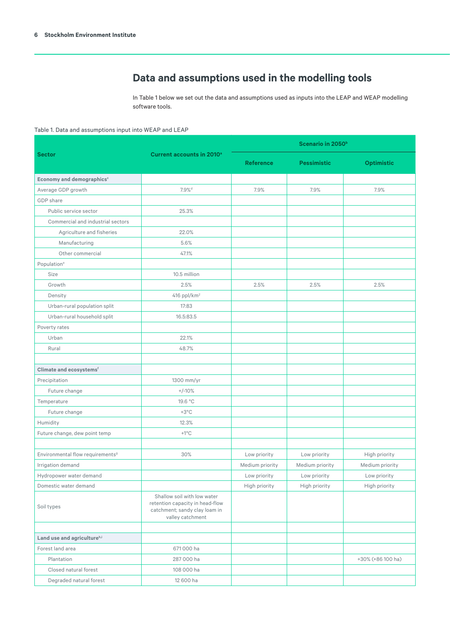# **Data and assumptions used in the modelling tools**

In Table 1 below we set out the data and assumptions used as inputs into the LEAP and WEAP modelling software tools.

## <span id="page-5-0"></span>Table 1. Data and assumptions input into WEAP and LEAP

|                                              |                                                                                                                     | Scenario in 2050 <sup>b</sup> |                    |                   |  |
|----------------------------------------------|---------------------------------------------------------------------------------------------------------------------|-------------------------------|--------------------|-------------------|--|
| <b>Sector</b>                                | <b>Current accounts in 2010<sup>a</sup></b>                                                                         | <b>Reference</b>              | <b>Pessimistic</b> | <b>Optimistic</b> |  |
| Economy and demographics <sup>c</sup>        |                                                                                                                     |                               |                    |                   |  |
| Average GDP growth                           | 7.9% <sup>d</sup>                                                                                                   | 7.9%                          | 7.9%               | 7.9%              |  |
| GDP share                                    |                                                                                                                     |                               |                    |                   |  |
| Public service sector                        | 25.3%                                                                                                               |                               |                    |                   |  |
| Commercial and industrial sectors            |                                                                                                                     |                               |                    |                   |  |
| Agriculture and fisheries                    | 22.0%                                                                                                               |                               |                    |                   |  |
| Manufacturing                                | 5.6%                                                                                                                |                               |                    |                   |  |
| Other commercial                             | 47.1%                                                                                                               |                               |                    |                   |  |
| Population <sup>e</sup>                      |                                                                                                                     |                               |                    |                   |  |
| Size                                         | 10.5 million                                                                                                        |                               |                    |                   |  |
| Growth                                       | 2.5%                                                                                                                | 2.5%                          | 2.5%               | 2.5%              |  |
| Density                                      | $416$ ppl/km <sup>2</sup>                                                                                           |                               |                    |                   |  |
| Urban-rural population split                 | 17:83                                                                                                               |                               |                    |                   |  |
| Urban-rural household split                  | 16.5:83.5                                                                                                           |                               |                    |                   |  |
| Poverty rates                                |                                                                                                                     |                               |                    |                   |  |
| Urban                                        | 22.1%                                                                                                               |                               |                    |                   |  |
| Rural                                        | 48.7%                                                                                                               |                               |                    |                   |  |
|                                              |                                                                                                                     |                               |                    |                   |  |
| Climate and ecosystems <sup>f</sup>          |                                                                                                                     |                               |                    |                   |  |
| Precipitation                                | 1300 mm/yr                                                                                                          |                               |                    |                   |  |
| Future change                                | $+/-10%$                                                                                                            |                               |                    |                   |  |
| Temperature                                  | 19.6 °C                                                                                                             |                               |                    |                   |  |
| Future change                                | $+3^{\circ}$ C                                                                                                      |                               |                    |                   |  |
| Humidity                                     | 12.3%                                                                                                               |                               |                    |                   |  |
| Future change, dew point temp                | $+1^{\circ}C$                                                                                                       |                               |                    |                   |  |
|                                              |                                                                                                                     |                               |                    |                   |  |
| Environmental flow requirements <sup>9</sup> | 30%                                                                                                                 | Low priority                  | Low priority       | High priority     |  |
| Irrigation demand                            |                                                                                                                     | Medium priority               | Medium priority    | Medium priority   |  |
| Hydropower water demand                      |                                                                                                                     | Low priority                  | Low priority       | Low priority      |  |
| Domestic water demand                        |                                                                                                                     | High priority                 | High priority      | High priority     |  |
| Soil types                                   | Shallow soil with low water<br>retention capacity in head-flow<br>catchment; sandy clay loam in<br>valley catchment |                               |                    |                   |  |
|                                              |                                                                                                                     |                               |                    |                   |  |
| Land use and agricultureh,i                  |                                                                                                                     |                               |                    |                   |  |
| Forest land area                             | 671 000 ha                                                                                                          |                               |                    |                   |  |
| Plantation                                   | 287 000 ha                                                                                                          |                               |                    | +30% (+86 100 ha) |  |
| Closed natural forest                        | 108 000 ha                                                                                                          |                               |                    |                   |  |
| Degraded natural forest                      | 12 600 ha                                                                                                           |                               |                    |                   |  |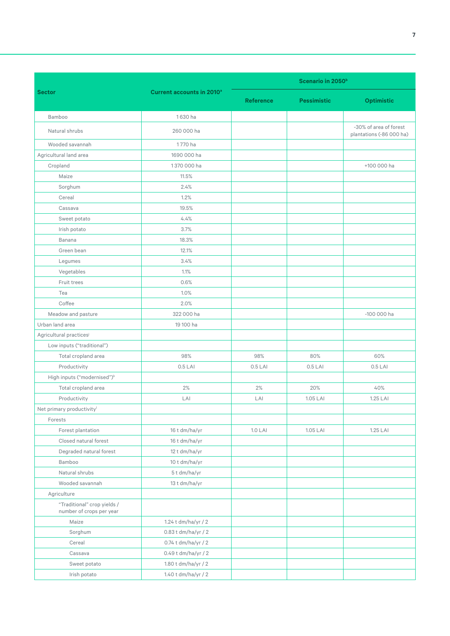|                                                         |                                             | Scenario in 2050 <sup>b</sup>          |           |                                                    |  |
|---------------------------------------------------------|---------------------------------------------|----------------------------------------|-----------|----------------------------------------------------|--|
| <b>Sector</b>                                           | <b>Current accounts in 2010<sup>a</sup></b> | <b>Reference</b><br><b>Pessimistic</b> |           | <b>Optimistic</b>                                  |  |
| Bamboo                                                  | 1630 ha                                     |                                        |           |                                                    |  |
| Natural shrubs                                          | 260 000 ha                                  |                                        |           | -30% of area of forest<br>plantations (-86 000 ha) |  |
| Wooded savannah                                         | 1770 ha                                     |                                        |           |                                                    |  |
| Agricultural land area                                  | 1690 000 ha                                 |                                        |           |                                                    |  |
| Cropland                                                | 1370 000 ha                                 |                                        |           | +100 000 ha                                        |  |
| Maize                                                   | 11.5%                                       |                                        |           |                                                    |  |
| Sorghum                                                 | 2.4%                                        |                                        |           |                                                    |  |
| Cereal                                                  | 1.2%                                        |                                        |           |                                                    |  |
| Cassava                                                 | 19.5%                                       |                                        |           |                                                    |  |
| Sweet potato                                            | 4.4%                                        |                                        |           |                                                    |  |
| Irish potato                                            | 3.7%                                        |                                        |           |                                                    |  |
| Banana                                                  | 18.3%                                       |                                        |           |                                                    |  |
| Green bean                                              | 12.1%                                       |                                        |           |                                                    |  |
| Legumes                                                 | 3.4%                                        |                                        |           |                                                    |  |
| Vegetables                                              | 1.1%                                        |                                        |           |                                                    |  |
| Fruit trees                                             | 0.6%                                        |                                        |           |                                                    |  |
| Tea                                                     | 1.0%                                        |                                        |           |                                                    |  |
| Coffee                                                  | 2.0%                                        |                                        |           |                                                    |  |
| Meadow and pasture                                      | 322 000 ha                                  |                                        |           | -100 000 ha                                        |  |
| Urban land area                                         | 19 100 ha                                   |                                        |           |                                                    |  |
| Agricultural practices <sup>j</sup>                     |                                             |                                        |           |                                                    |  |
| Low inputs ("traditional")                              |                                             |                                        |           |                                                    |  |
| Total cropland area                                     | 98%                                         | 98%                                    | 80%       | 60%                                                |  |
| Productivity                                            | $0.5$ LAI                                   | $0.5$ LAI                              | $0.5$ LAI | $0.5$ LAI                                          |  |
| High inputs ("modernised") <sup>k</sup>                 |                                             |                                        |           |                                                    |  |
| Total cropland area                                     | 2%                                          | 2%                                     | 20%       | 40%                                                |  |
| Productivity                                            | LAI                                         | LAI<br>1.05 LAI                        |           | 1.25 LAI                                           |  |
| Net primary productivity                                |                                             |                                        |           |                                                    |  |
| Forests                                                 |                                             |                                        |           |                                                    |  |
| Forest plantation                                       | 16 t dm/ha/yr                               | $1.0$ LAI                              | 1.05 LAI  | 1.25 LAI                                           |  |
| Closed natural forest                                   | 16 t dm/ha/yr                               |                                        |           |                                                    |  |
| Degraded natural forest                                 | 12 t dm/ha/yr                               |                                        |           |                                                    |  |
| Bamboo                                                  | 10 t dm/ha/yr                               |                                        |           |                                                    |  |
| Natural shrubs                                          | 5t dm/ha/yr                                 |                                        |           |                                                    |  |
| Wooded savannah                                         | 13 t dm/ha/yr                               |                                        |           |                                                    |  |
| Agriculture                                             |                                             |                                        |           |                                                    |  |
| "Traditional" crop yields /<br>number of crops per year |                                             |                                        |           |                                                    |  |
| Maize                                                   | 1.24 t dm/ha/yr / 2                         |                                        |           |                                                    |  |
| Sorghum                                                 | 0.83 t dm/ha/yr / 2                         |                                        |           |                                                    |  |
| Cereal                                                  | 0.74 t dm/ha/yr / 2                         |                                        |           |                                                    |  |
| Cassava                                                 | 0.49 t dm/ha/yr / 2                         |                                        |           |                                                    |  |
| Sweet potato                                            | 1.80 t dm/ha/yr / 2                         |                                        |           |                                                    |  |
| Irish potato                                            | 1.40 t dm/ha/yr / 2                         |                                        |           |                                                    |  |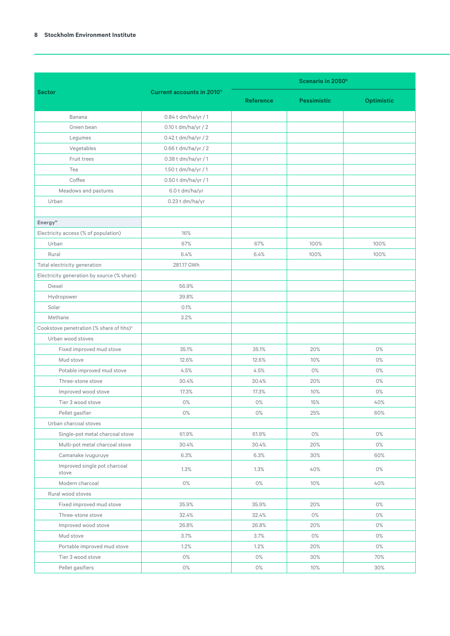### **8 Stockholm Environment Institute**

|                                                     |                                       | Scenario in 2050 <sup>b</sup> |                    |                   |  |
|-----------------------------------------------------|---------------------------------------|-------------------------------|--------------------|-------------------|--|
| <b>Sector</b>                                       | Current accounts in 2010 <sup>a</sup> |                               |                    |                   |  |
|                                                     |                                       | <b>Reference</b>              | <b>Pessimistic</b> | <b>Optimistic</b> |  |
| Banana                                              | 0.84 t dm/ha/yr / 1                   |                               |                    |                   |  |
| Green bean                                          | 0.10 t dm/ha/yr / 2                   |                               |                    |                   |  |
| Legumes                                             | 0.42 t dm/ha/yr / 2                   |                               |                    |                   |  |
| Vegetables                                          | 0.66 t dm/ha/yr / 2                   |                               |                    |                   |  |
| Fruit trees                                         | 0.38 t dm/ha/yr / 1                   |                               |                    |                   |  |
| Tea                                                 | 1.50 t dm/ha/yr / 1                   |                               |                    |                   |  |
| Coffee                                              | $0.50$ t dm/ha/yr / 1                 |                               |                    |                   |  |
| Meadows and pastures                                | 6.0 t dm/ha/yr                        |                               |                    |                   |  |
| Urban                                               | 0.23 t dm/ha/yr                       |                               |                    |                   |  |
|                                                     |                                       |                               |                    |                   |  |
| Energy <sup>m</sup>                                 |                                       |                               |                    |                   |  |
| Electricity access (% of population)                | 16%                                   |                               |                    |                   |  |
| Urban                                               | 67%                                   | 67%                           | 100%               | 100%              |  |
| Rural                                               | 6.4%                                  | 6.4%                          | 100%               | 100%              |  |
| Total electricity generation                        | 281.17 GWh                            |                               |                    |                   |  |
| Electricity generation by source (% share)          |                                       |                               |                    |                   |  |
| Diesel                                              | 56.9%                                 |                               |                    |                   |  |
| Hydropower                                          | 39.8%                                 |                               |                    |                   |  |
| Solar                                               | 0.1%                                  |                               |                    |                   |  |
| Methane                                             | 3.2%                                  |                               |                    |                   |  |
| Cookstove penetration (% share of hhs) <sup>n</sup> |                                       |                               |                    |                   |  |
| Urban wood stoves                                   |                                       |                               |                    |                   |  |
| Fixed improved mud stove                            | 35.1%                                 | 35.1%                         | 20%                | 0%                |  |
| Mud stove                                           | 12.6%                                 | 12.6%                         | 10%                | 0%                |  |
| Potable improved mud stove                          | 4.5%                                  | 4.5%                          | 0%                 | $0\%$             |  |
| Three-stone stove                                   | 30.4%                                 | 30.4%                         | 20%                | 0%                |  |
| Improved wood stove                                 | 17.3%                                 | 17.3%                         | 10%                | 0%                |  |
| Tier 3 wood stove                                   | 0%                                    | 0%                            | 15%                | 40%               |  |
| Pellet gasifier                                     | 0%                                    | 0%                            | 25%                | 60%               |  |
| Urban charcoal stoves                               |                                       |                               |                    |                   |  |
| Single-pot metal charcoal stove                     | 61.9%                                 | 61.9%                         | 0%                 | 0%                |  |
| Multi-pot metal charcoal stove                      | 30.4%                                 | 30.4%                         | 20%                | 0%                |  |
| Camanake ivuguruye                                  | 6.3%                                  | 6.3%                          | 30%                | 60%               |  |
| Improved single pot charcoal<br>stove               | 1.3%                                  | 1.3%                          | 40%                | 0%                |  |
| Modern charcoal                                     | 0%                                    | 0%                            | 10%                | 40%               |  |
| Rural wood stoves                                   |                                       |                               |                    |                   |  |
| Fixed improved mud stove                            | 35.9%                                 | 35.9%                         | 20%                | 0%                |  |
| Three-stone stove                                   | 32.4%                                 | 32.4%                         | 0%                 | 0%                |  |
| Improved wood stove                                 | 26.8%                                 | 26.8%                         | 20%                | 0%                |  |
| Mud stove                                           | 3.7%                                  | 3.7%                          | $0\%$              | 0%                |  |
| Portable improved mud stove                         | 1.2%                                  | 1.2%                          | 20%                | 0%                |  |
| Tier 3 wood stove                                   | 0%                                    | 0%                            | 30%                | 70%               |  |
| Pellet gasifiers                                    | $0\%$                                 | 0%                            | 10%                | 30%               |  |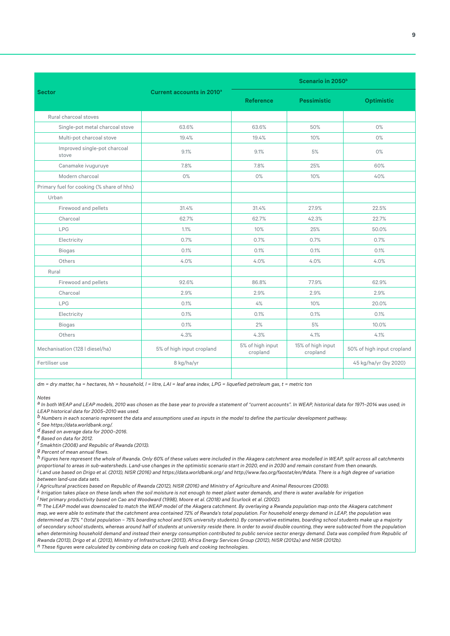|                                           |                                             | Scenario in 2050 <sup>b</sup> |                               |                            |  |
|-------------------------------------------|---------------------------------------------|-------------------------------|-------------------------------|----------------------------|--|
| <b>Sector</b>                             | <b>Current accounts in 2010<sup>°</sup></b> | <b>Reference</b>              | <b>Pessimistic</b>            | <b>Optimistic</b>          |  |
| Rural charcoal stoves                     |                                             |                               |                               |                            |  |
| Single-pot metal charcoal stove           | 63.6%                                       | 63.6%                         | 50%                           | $0\%$                      |  |
| Multi-pot charcoal stove                  | 19.4%                                       | 19.4%                         | 10%                           | $0\%$                      |  |
| Improved single-pot charcoal<br>stove     | 9.1%                                        | 9.1%                          | 5%                            | 0%                         |  |
| Canamake ivuguruye                        | 7.8%                                        | 7.8%                          | 25%                           | 60%                        |  |
| Modern charcoal                           | 0%                                          | 0%                            | 10%                           | 40%                        |  |
| Primary fuel for cooking (% share of hhs) |                                             |                               |                               |                            |  |
| Urban                                     |                                             |                               |                               |                            |  |
| Firewood and pellets                      | 31.4%                                       | 31.4%                         | 27.9%                         | 22.5%                      |  |
| Charcoal                                  | 62.7%                                       | 62.7%                         | 42.3%                         | 22.7%                      |  |
| LPG                                       | 1.1%                                        | 10%                           | 25%                           | 50.0%                      |  |
| Electricity                               | 0.7%                                        | 0.7%                          | 0.7%                          | 0.7%                       |  |
| <b>Biogas</b>                             | 0.1%                                        | 0.1%                          | 0.1%                          | 0.1%                       |  |
| Others                                    | 4.0%                                        | 4.0%                          | 4.0%                          | 4.0%                       |  |
| Rural                                     |                                             |                               |                               |                            |  |
| Firewood and pellets                      | 92.6%                                       | 86.8%                         | 77.9%                         | 62.9%                      |  |
| Charcoal                                  | 2.9%                                        | 2.9%                          | 2.9%                          | 2.9%                       |  |
| LPG                                       | 0.1%                                        | 4%                            | 10%                           | 20.0%                      |  |
| Electricity                               | 0.1%                                        | 0.1%                          | 0.1%                          | 0.1%                       |  |
| <b>Biogas</b>                             | 0.1%                                        | 2%                            | 5%                            | 10.0%                      |  |
| Others                                    | 4.3%                                        | 4.3%                          | 4.1%                          | 4.1%                       |  |
| Mechanisation (128 I diesel/ha)           | 5% of high input cropland                   | 5% of high input<br>cropland  | 15% of high input<br>cropland | 50% of high input cropland |  |
| Fertiliser use                            | 8 kg/ha/yr                                  |                               |                               | 45 kg/ha/yr (by 2020)      |  |
|                                           |                                             |                               |                               |                            |  |

*dm = dry matter, ha = hectares, hh = household, l = litre, LAI = leaf area index, LPG = liquefied petroleum gas, t = metric ton*

*Notes*

*a In both WEAP and LEAP models, 2010 was chosen as the base year to provide a statement of "current accounts". In WEAP, historical data for 1971–2014 was used; in LEAP historical data for 2005–2010 was used.*

*b Numbers in each scenario represent the data and assumptions used as inputs in the model to define the particular development pathway.*

*c See<https://data.worldbank.org/.>*

*d Based on average data for 2000–2016.*

*e Based on data for 2012.* 

*f Smakhtin (2008) and Republic of Rwanda (2013).*

*g Percent of mean annual flows.* 

*h Figures here represent the whole of Rwanda. Only 60% of these values were included in the Akagera catchment area modelled in WEAP, split across all catchments proportional to areas in sub-watersheds. Land-use changes in the optimistic scenario start in 2020, end in 2030 and remain constant from then onwards. i Land use based on Drigo et al. (2013), NISR (2016) and<https://data.worldbank.org/> and [http://www.fao.org/faostat/en/#data](http://www.fao.org/faostat/en/#data.). There is a high degree of variation between land-use data sets.*

*j Agricultural practices based on Republic of Rwanda (2012), NISR (2016) and Ministry of Agriculture and Animal Resources (2009).*

*k Irrigation takes place on these lands when the soil moisture is not enough to meet plant water demands, and there is water available for irrigation* 

*l Net primary productivity based on Cao and Woodward (1998), Moore et al. (2018) and Scurlock et al. (2002).*

*m The LEAP model was downscaled to match the WEAP model of the Akagera catchment. By overlaying a Rwanda population map onto the Akagera catchment map, we were able to estimate that the catchment area contained 72% of Rwanda's total population. For household energy demand in LEAP, the population was determined as 72% \* (total population – 75% boarding school and 50% university students). By conservative estimates, boarding school students make up a majority of secondary school students, whereas around half of students at university reside there. In order to avoid double counting, they were subtracted from the population*  when determining household demand and instead their energy consumption contributed to public service sector energy demand. Data was compiled from Republic of *Rwanda (2013), Drigo et al. (2013), Ministry of Infrastructure (2013), Africa Energy Services Group (2012), NISR (2012a) and NISR (2012b). n These figures were calculated by combining data on cooking fuels and cooking technologies.*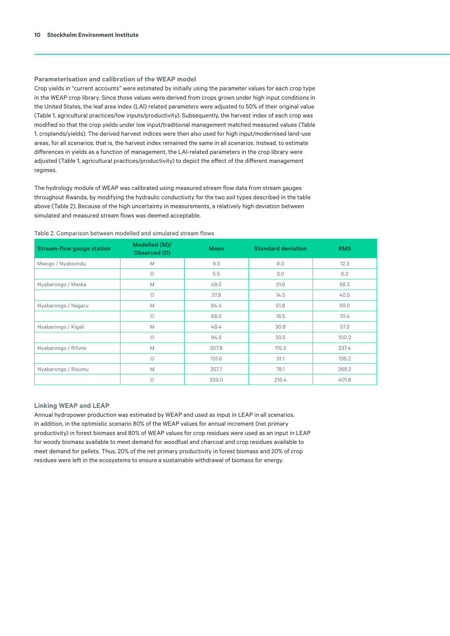## **Parameterisation and calibration of the WEAP model**

Crop yields in "current accounts" were estimated by initially using the parameter values for each crop type in the WEAP crop library. Since those values were derived from crops grown under high input conditions in the United States, the leaf area index (LAI) related parameters were adjusted to 50% of their original value (Table 1, agricultural practices/low inputs/productivity). Subsequently, the harvest index of each crop was modified so that the crop yields under low input/traditional management matched measured values (Table 1, croplands/yields). The derived harvest indices were then also used for high input/modernised land-use areas, for all scenarios; that is, the harvest index remained the same in all scenarios. Instead, to estimate differences in yields as a function of management, the LAI-related parameters in the crop library were adjusted (Table 1, agricultural practices/productivity) to depict the effect of the different management regimes.

The hydrology module of WEAP was calibrated using measured stream flow data from stream gauges throughout Rwanda, by modifying the hydraulic conductivity for the two soil types described in the table above (Table 2). Because of the high uncertainty in measurements, a relatively high deviation between simulated and measured stream flows was deemed acceptable.

| Table 2. Comparison between modelled and simulated stream flows |  |  |  |  |  |  |
|-----------------------------------------------------------------|--|--|--|--|--|--|
|-----------------------------------------------------------------|--|--|--|--|--|--|

| <b>Stream-flow gauge station</b> | Modelled (M)/<br>Observed (O) | <b>Mean</b> | <b>Standard deviation</b> | <b>RMS</b> |
|----------------------------------|-------------------------------|-------------|---------------------------|------------|
| Mwogo / Nyabisindu               | M                             | 9.3         | 8.0                       | 12.3       |
|                                  | O                             | 5.5         | 3.0                       | 6.3        |
| Nyabarongo / Mwika               | M                             | 49.0        | 31.6                      | 58.3       |
|                                  | О                             | 37.8        | 14.5                      | 40.5       |
| Nyabarongo / Nagaru              | M                             | 84.4        | 51.8                      | 99.0       |
|                                  | $\circ$                       | 68.0        | 18.5                      | 70.4       |
| Nyabarongo / Kigali              | M                             | 48.4        | 30.8                      | 57.3       |
|                                  | $\circ$                       | 94.5        | 33.5                      | 100.2      |
| Nyabarongo / Rifune              | M                             | 207.8       | 115.3                     | 237.4      |
|                                  | $\circ$                       | 131.6       | 31.1                      | 135.2      |
| Nyabarongo / Risumu              | M                             | 257.7       | 78.1                      | 269.2      |
|                                  | O                             | 339.0       | 216.4                     | 401.8      |

#### **Linking WEAP and LEAP**

Annual hydropower production was estimated by WEAP and used as input in LEAP in all scenarios. In addition, in the optimistic scenario 80% of the WEAP values for annual increment (net primary productivity) in forest biomass and 80% of WEAP values for crop residues were used as an input in LEAP for woody biomass available to meet demand for woodfuel and charcoal and crop residues available to meet demand for pellets. Thus, 20% of the net primary productivity in forest biomass and 20% of crop residues were left in the ecosystems to ensure a sustainable withdrawal of biomass for energy.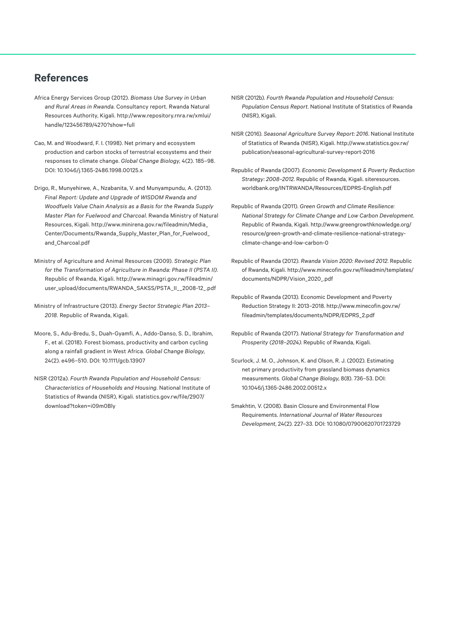# <span id="page-10-0"></span>**References**

- Africa Energy Services Group (2012). *Biomass Use Survey in Urban and Rural Areas in Rwanda*. Consultancy report. Rwanda Natural Resources Authority, Kigali. [http://www.repository.rnra.rw/xmlui/](http://www.repository.rnra.rw/xmlui/handle/123456789/4270?show=full) [handle/123456789/4270?show=full](http://www.repository.rnra.rw/xmlui/handle/123456789/4270?show=full)
- Cao, M. and Woodward, F. I. (1998). Net primary and ecosystem production and carbon stocks of terrestrial ecosystems and their responses to climate change. *Global Change Biology*, 4(2). 185–98. DOI: 10.1046/j.1365-2486.1998.00125.x
- Drigo, R., Munyehirwe, A., Nzabanita, V. and Munyampundu, A. (2013). *Final Report: Update and Upgrade of WISDOM Rwanda and Woodfuels Value Chain Analysis as a Basis for the Rwanda Supply Master Plan for Fuelwood and Charcoal*. Rwanda Ministry of Natural Resources, Kigali. [http://www.minirena.gov.rw/fileadmin/Media\\_](http://www.minirena.gov.rw/fileadmin/Media_Center/Documents/Rwanda_Supply_Master_Plan_for_Fuelwood_and_Charcoal.pdf) [Center/Documents/Rwanda\\_Supply\\_Master\\_Plan\\_for\\_Fuelwood\\_](http://www.minirena.gov.rw/fileadmin/Media_Center/Documents/Rwanda_Supply_Master_Plan_for_Fuelwood_and_Charcoal.pdf) [and\\_Charcoal.pdf](http://www.minirena.gov.rw/fileadmin/Media_Center/Documents/Rwanda_Supply_Master_Plan_for_Fuelwood_and_Charcoal.pdf)
- Ministry of Agriculture and Animal Resources (2009). *Strategic Plan for the Transformation of Agriculture in Rwanda: Phase II (PSTA II)*. Republic of Rwanda, Kigali. [http://www.minagri.gov.rw/fileadmin/](http://www.minagri.gov.rw/fileadmin/user_upload/documents/RWANDA_SAKSS/PSTA_II__2008-12_.pdf) [user\\_upload/documents/RWANDA\\_SAKSS/PSTA\\_II\\_\\_2008-12\\_.pdf](http://www.minagri.gov.rw/fileadmin/user_upload/documents/RWANDA_SAKSS/PSTA_II__2008-12_.pdf)
- Ministry of Infrastructure (2013). *Energy Sector Strategic Plan 2013– 2018.* Republic of Rwanda, Kigali.
- Moore, S., Adu-Bredu, S., Duah-Gyamfi, A., Addo-Danso, S. D., Ibrahim, F., et al. (2018). Forest biomass, productivity and carbon cycling along a rainfall gradient in West Africa. *Global Change Biology*, 24(2). e496–510. DOI: 10.1111/gcb.13907
- NISR (2012a). *Fourth Rwanda Population and Household Census: Characteristics of Households and Housing*. National Institute of Statistics of Rwanda (NISR), Kigali. [statistics.gov.rw/file/2907/](http://statistics.gov.rw/file/2907/download?token=i09m0Bly) [download?token=i09m0Bly](http://statistics.gov.rw/file/2907/download?token=i09m0Bly)
- NISR (2012b). *Fourth Rwanda Population and Household Census: Population Census Report*. National Institute of Statistics of Rwanda (NISR), Kigali.
- NISR (2016). *Seasonal Agriculture Survey Report: 2016*. National Institute of Statistics of Rwanda (NISR), Kigali. [http://www.statistics.gov.rw/](http://www.statistics.gov.rw/publication/seasonal-agricultural-survey-report-2016) [publication/seasonal-agricultural-survey-report-2016](http://www.statistics.gov.rw/publication/seasonal-agricultural-survey-report-2016)
- Republic of Rwanda (2007). *Economic Development & Poverty Reduction Strategy: 2008–2012*. Republic of Rwanda, Kigali. [siteresources.](http://siteresources.worldbank.org/INTRWANDA/Resources/EDPRS-English.pdf) [worldbank.org/INTRWANDA/Resources/EDPRS-English.pdf](http://siteresources.worldbank.org/INTRWANDA/Resources/EDPRS-English.pdf)
- Republic of Rwanda (2011). *Green Growth and Climate Resilience: National Strategy for Climate Change and Low Carbon Development*. Republic of Rwanda, Kigali. [http://www.greengrowthknowledge.org/](http://www.greengrowthknowledge.org/resource/green-growth-and-climate-resilience-national-strategy-climate-change-and-low-carbon-0) [resource/green-growth-and-climate-resilience-national-strategy](http://www.greengrowthknowledge.org/resource/green-growth-and-climate-resilience-national-strategy-climate-change-and-low-carbon-0)[climate-change-and-low-carbon-0](http://www.greengrowthknowledge.org/resource/green-growth-and-climate-resilience-national-strategy-climate-change-and-low-carbon-0)
- Republic of Rwanda (2012). *Rwanda Vision 2020: Revised 2012*. Republic of Rwanda, Kigali. [http://www.minecofin.gov.rw/fileadmin/templates/](http://www.minecofin.gov.rw/fileadmin/templates/documents/NDPR/Vision_2020_.pdf) [documents/NDPR/Vision\\_2020\\_.pdf](http://www.minecofin.gov.rw/fileadmin/templates/documents/NDPR/Vision_2020_.pdf)
- Republic of Rwanda (2013). Economic Development and Poverty Reduction Strategy II: 2013–2018. [http://www.minecofin.gov.rw/](http://www.minecofin.gov.rw/fileadmin/templates/documents/NDPR/EDPRS_2.pdf) [fileadmin/templates/documents/NDPR/EDPRS\\_2.pdf](http://www.minecofin.gov.rw/fileadmin/templates/documents/NDPR/EDPRS_2.pdf)
- Republic of Rwanda (2017). *National Strategy for Transformation and Prosperity (2018–2024)*. Republic of Rwanda, Kigali.
- Scurlock, J. M. O., Johnson, K. and Olson, R. J. (2002). Estimating net primary productivity from grassland biomass dynamics measurements. *Global Change Biology*, 8(8). 736–53. DOI: 10.1046/j.1365-2486.2002.00512.x
- Smakhtin, V. (2008). Basin Closure and Environmental Flow Requirements. *International Journal of Water Resources Development*, 24(2). 227–33. DOI: 10.1080/07900620701723729